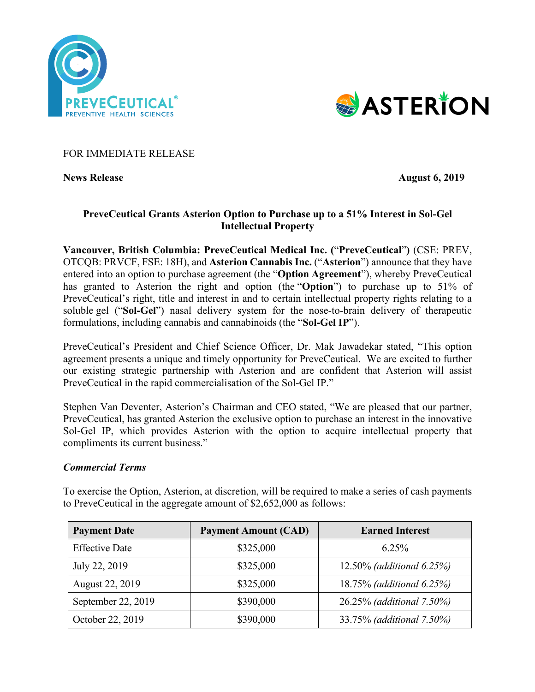



FOR IMMEDIATE RELEASE

**News Release** August **6, 2019** 

# **PreveCeutical Grants Asterion Option to Purchase up to a 51% Interest in Sol-Gel Intellectual Property**

**Vancouver, British Columbia: PreveCeutical Medical Inc. (**"**PreveCeutical**"**)** (CSE: PREV, OTCQB: PRVCF, FSE: 18H), and **Asterion Cannabis Inc.** ("**Asterion**") announce that they have entered into an option to purchase agreement (the "**Option Agreement**"), whereby PreveCeutical has granted to Asterion the right and option (the "**Option**") to purchase up to 51% of PreveCeutical's right, title and interest in and to certain intellectual property rights relating to a soluble gel ("**Sol-Gel**") nasal delivery system for the nose-to-brain delivery of therapeutic formulations, including cannabis and cannabinoids (the "**Sol-Gel IP**").

PreveCeutical's President and Chief Science Officer, Dr. Mak Jawadekar stated, "This option agreement presents a unique and timely opportunity for PreveCeutical. We are excited to further our existing strategic partnership with Asterion and are confident that Asterion will assist PreveCeutical in the rapid commercialisation of the Sol-Gel IP."

Stephen Van Deventer, Asterion's Chairman and CEO stated, "We are pleased that our partner, PreveCeutical, has granted Asterion the exclusive option to purchase an interest in the innovative Sol-Gel IP, which provides Asterion with the option to acquire intellectual property that compliments its current business."

## *Commercial Terms*

To exercise the Option, Asterion, at discretion, will be required to make a series of cash payments to PreveCeutical in the aggregate amount of \$2,652,000 as follows:

| <b>Payment Date</b>   | <b>Payment Amount (CAD)</b> | <b>Earned Interest</b>                |
|-----------------------|-----------------------------|---------------------------------------|
| <b>Effective Date</b> | \$325,000                   | $6.25\%$                              |
| July 22, 2019         | \$325,000                   | 12.50% ( <i>additional</i> $6.25\%$ ) |
| August 22, 2019       | \$325,000                   | 18.75% (additional 6.25%)             |
| September 22, 2019    | \$390,000                   | 26.25% (additional 7.50%)             |
| October 22, 2019      | \$390,000                   | 33.75% (additional 7.50%)             |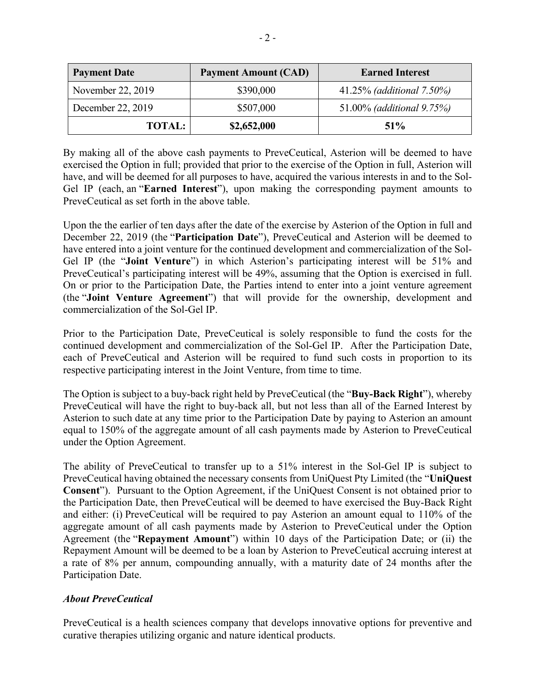| <b>Payment Date</b> | <b>Payment Amount (CAD)</b> | <b>Earned Interest</b>    |
|---------------------|-----------------------------|---------------------------|
| November 22, 2019   | \$390,000                   | 41.25% (additional 7.50%) |
| December 22, 2019   | \$507,000                   | 51.00% (additional 9.75%) |
| <b>TOTAL:</b>       | \$2,652,000                 | 51%                       |

By making all of the above cash payments to PreveCeutical, Asterion will be deemed to have exercised the Option in full; provided that prior to the exercise of the Option in full, Asterion will have, and will be deemed for all purposes to have, acquired the various interests in and to the Sol-Gel IP (each, an "**Earned Interest**"), upon making the corresponding payment amounts to PreveCeutical as set forth in the above table.

Upon the the earlier of ten days after the date of the exercise by Asterion of the Option in full and December 22, 2019 (the "**Participation Date**"), PreveCeutical and Asterion will be deemed to have entered into a joint venture for the continued development and commercialization of the Sol-Gel IP (the "**Joint Venture**") in which Asterion's participating interest will be 51% and PreveCeutical's participating interest will be 49%, assuming that the Option is exercised in full. On or prior to the Participation Date, the Parties intend to enter into a joint venture agreement (the "**Joint Venture Agreement**") that will provide for the ownership, development and commercialization of the Sol-Gel IP.

Prior to the Participation Date, PreveCeutical is solely responsible to fund the costs for the continued development and commercialization of the Sol-Gel IP. After the Participation Date, each of PreveCeutical and Asterion will be required to fund such costs in proportion to its respective participating interest in the Joint Venture, from time to time.

The Option is subject to a buy-back right held by PreveCeutical (the "**Buy-Back Right**"), whereby PreveCeutical will have the right to buy-back all, but not less than all of the Earned Interest by Asterion to such date at any time prior to the Participation Date by paying to Asterion an amount equal to 150% of the aggregate amount of all cash payments made by Asterion to PreveCeutical under the Option Agreement.

The ability of PreveCeutical to transfer up to a 51% interest in the Sol-Gel IP is subject to PreveCeutical having obtained the necessary consents from UniQuest Pty Limited (the "**UniQuest Consent**"). Pursuant to the Option Agreement, if the UniQuest Consent is not obtained prior to the Participation Date, then PreveCeutical will be deemed to have exercised the Buy-Back Right and either: (i) PreveCeutical will be required to pay Asterion an amount equal to 110% of the aggregate amount of all cash payments made by Asterion to PreveCeutical under the Option Agreement (the "**Repayment Amount**") within 10 days of the Participation Date; or (ii) the Repayment Amount will be deemed to be a loan by Asterion to PreveCeutical accruing interest at a rate of 8% per annum, compounding annually, with a maturity date of 24 months after the Participation Date.

# *About PreveCeutical*

PreveCeutical is a health sciences company that develops innovative options for preventive and curative therapies utilizing organic and nature identical products.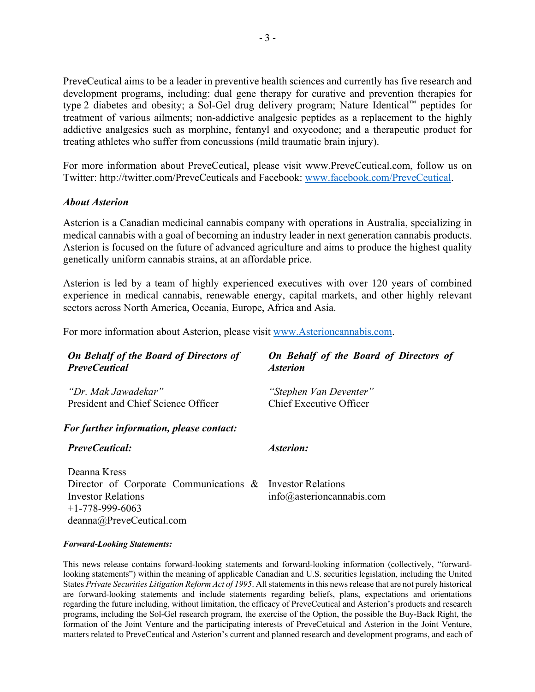PreveCeutical aims to be a leader in preventive health sciences and currently has five research and development programs, including: dual gene therapy for curative and prevention therapies for type 2 diabetes and obesity; a Sol-Gel drug delivery program; Nature Identical™ peptides for treatment of various ailments; non-addictive analgesic peptides as a replacement to the highly addictive analgesics such as morphine, fentanyl and oxycodone; and a therapeutic product for treating athletes who suffer from concussions (mild traumatic brain injury).

For more information about PreveCeutical, please visit www.PreveCeutical.com, follow us on Twitter: http://twitter.com/PreveCeuticals and Facebook: www.facebook.com/PreveCeutical.

## *About Asterion*

Asterion is a Canadian medicinal cannabis company with operations in Australia, specializing in medical cannabis with a goal of becoming an industry leader in next generation cannabis products. Asterion is focused on the future of advanced agriculture and aims to produce the highest quality genetically uniform cannabis strains, at an affordable price.

Asterion is led by a team of highly experienced executives with over 120 years of combined experience in medical cannabis, renewable energy, capital markets, and other highly relevant sectors across North America, Oceania, Europe, Africa and Asia.

For more information about Asterion, please visit www.Asterioncannabis.com.

| <b>On Behalf of the Board of Directors of</b><br><b>PreveCeutical</b>                                                                                   | On Behalf of the Board of Directors of<br><i><b>Asterion</b></i> |
|---------------------------------------------------------------------------------------------------------------------------------------------------------|------------------------------------------------------------------|
| "Dr. Mak Jawadekar"<br>President and Chief Science Officer                                                                                              | "Stephen Van Deventer"<br>Chief Executive Officer                |
| <b>For further information, please contact:</b>                                                                                                         |                                                                  |
| <b>PreveCeutical:</b>                                                                                                                                   | <b>Asterion:</b>                                                 |
| Deanna Kress<br>Director of Corporate Communications & Investor Relations<br><b>Investor Relations</b><br>$+1-778-999-6063$<br>deanna@PreveCeutical.com | $info@$ asterioncannabis.com                                     |

### *Forward-Looking Statements:*

This news release contains forward-looking statements and forward-looking information (collectively, "forwardlooking statements") within the meaning of applicable Canadian and U.S. securities legislation, including the United States *Private Securities Litigation Reform Act of 1995*. All statements in this news release that are not purely historical are forward-looking statements and include statements regarding beliefs, plans, expectations and orientations regarding the future including, without limitation, the efficacy of PreveCeutical and Asterion's products and research programs, including the Sol-Gel research program, the exercise of the Option, the possible the Buy-Back Right, the formation of the Joint Venture and the participating interests of PreveCetuical and Asterion in the Joint Venture, matters related to PreveCeutical and Asterion's current and planned research and development programs, and each of